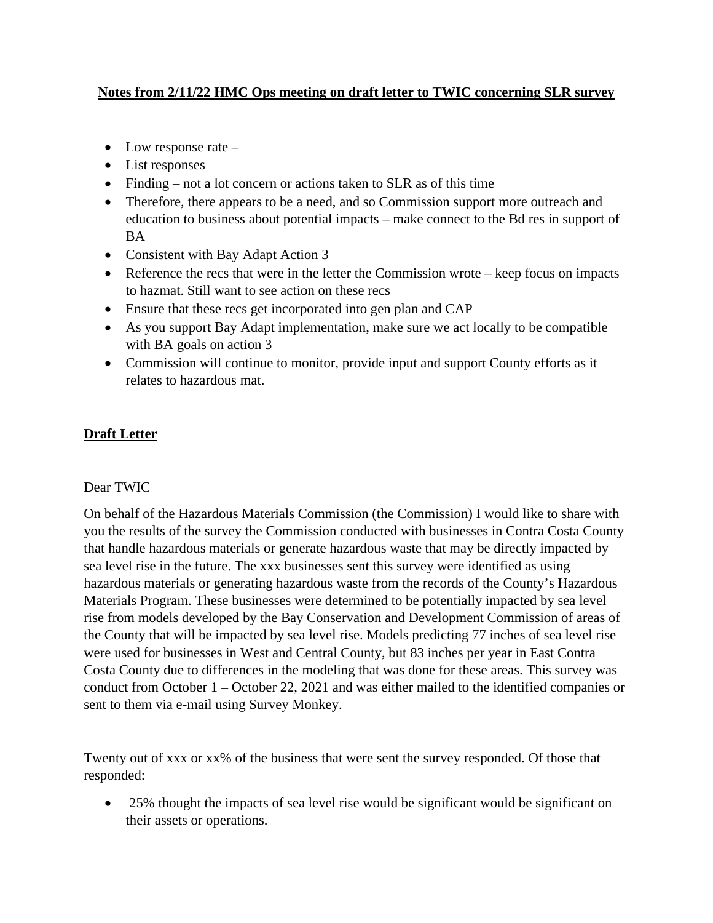## **Notes from 2/11/22 HMC Ops meeting on draft letter to TWIC concerning SLR survey**

- Low response rate –
- List responses
- Finding not a lot concern or actions taken to SLR as of this time
- Therefore, there appears to be a need, and so Commission support more outreach and education to business about potential impacts – make connect to the Bd res in support of BA
- Consistent with Bay Adapt Action 3
- Reference the recs that were in the letter the Commission wrote keep focus on impacts to hazmat. Still want to see action on these recs
- Ensure that these recs get incorporated into gen plan and CAP
- As you support Bay Adapt implementation, make sure we act locally to be compatible with BA goals on action 3
- Commission will continue to monitor, provide input and support County efforts as it relates to hazardous mat.

## **Draft Letter**

## Dear TWIC

On behalf of the Hazardous Materials Commission (the Commission) I would like to share with you the results of the survey the Commission conducted with businesses in Contra Costa County that handle hazardous materials or generate hazardous waste that may be directly impacted by sea level rise in the future. The xxx businesses sent this survey were identified as using hazardous materials or generating hazardous waste from the records of the County's Hazardous Materials Program. These businesses were determined to be potentially impacted by sea level rise from models developed by the Bay Conservation and Development Commission of areas of the County that will be impacted by sea level rise. Models predicting 77 inches of sea level rise were used for businesses in West and Central County, but 83 inches per year in East Contra Costa County due to differences in the modeling that was done for these areas. This survey was conduct from October 1 – October 22, 2021 and was either mailed to the identified companies or sent to them via e-mail using Survey Monkey.

Twenty out of xxx or xx% of the business that were sent the survey responded. Of those that responded:

• 25% thought the impacts of sea level rise would be significant would be significant on their assets or operations.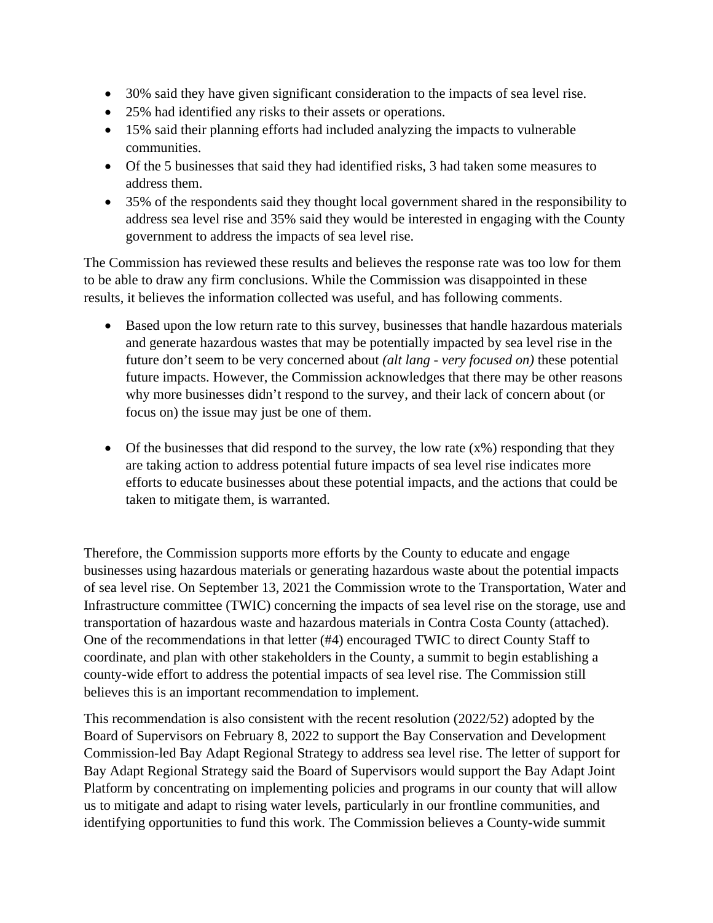- 30% said they have given significant consideration to the impacts of sea level rise.
- 25% had identified any risks to their assets or operations.
- 15% said their planning efforts had included analyzing the impacts to vulnerable communities.
- Of the 5 businesses that said they had identified risks, 3 had taken some measures to address them.
- 35% of the respondents said they thought local government shared in the responsibility to address sea level rise and 35% said they would be interested in engaging with the County government to address the impacts of sea level rise.

The Commission has reviewed these results and believes the response rate was too low for them to be able to draw any firm conclusions. While the Commission was disappointed in these results, it believes the information collected was useful, and has following comments.

- Based upon the low return rate to this survey, businesses that handle hazardous materials and generate hazardous wastes that may be potentially impacted by sea level rise in the future don't seem to be very concerned about *(alt lang - very focused on)* these potential future impacts. However, the Commission acknowledges that there may be other reasons why more businesses didn't respond to the survey, and their lack of concern about (or focus on) the issue may just be one of them.
- Of the businesses that did respond to the survey, the low rate  $(x\%)$  responding that they are taking action to address potential future impacts of sea level rise indicates more efforts to educate businesses about these potential impacts, and the actions that could be taken to mitigate them, is warranted.

Therefore, the Commission supports more efforts by the County to educate and engage businesses using hazardous materials or generating hazardous waste about the potential impacts of sea level rise. On September 13, 2021 the Commission wrote to the Transportation, Water and Infrastructure committee (TWIC) concerning the impacts of sea level rise on the storage, use and transportation of hazardous waste and hazardous materials in Contra Costa County (attached). One of the recommendations in that letter (#4) encouraged TWIC to direct County Staff to coordinate, and plan with other stakeholders in the County, a summit to begin establishing a county-wide effort to address the potential impacts of sea level rise. The Commission still believes this is an important recommendation to implement.

This recommendation is also consistent with the recent resolution (2022/52) adopted by the Board of Supervisors on February 8, 2022 to support the Bay Conservation and Development Commission-led Bay Adapt Regional Strategy to address sea level rise. The letter of support for Bay Adapt Regional Strategy said the Board of Supervisors would support the Bay Adapt Joint Platform by concentrating on implementing policies and programs in our county that will allow us to mitigate and adapt to rising water levels, particularly in our frontline communities, and identifying opportunities to fund this work. The Commission believes a County-wide summit